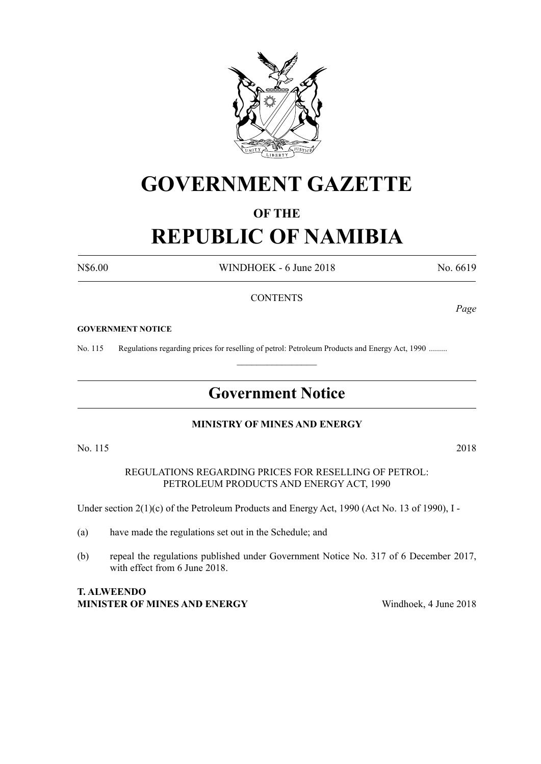

# **GOVERNMENT GAZETTE**

### **OF THE**

# **REPUBLIC OF NAMIBIA**

N\$6.00 WINDHOEK - 6 June 2018 No. 6619

#### **CONTENTS**

#### **GOVERNMENT NOTICE**

No. 115 Regulations regarding prices for reselling of petrol: Petroleum Products and Energy Act, 1990 .........

## **Government Notice**

 $\frac{1}{2}$ 

#### **MINISTRY OF MINES AND ENERGY**

No. 115 2018

REGULATIONS REGARDING PRICES FOR RESELLING OF PETROL: PETROLEUM PRODUCTS AND ENERGY ACT, 1990

Under section 2(1)(c) of the Petroleum Products and Energy Act, 1990 (Act No. 13 of 1990), I -

- (a) have made the regulations set out in the Schedule; and
- (b) repeal the regulations published under Government Notice No. 317 of 6 December 2017, with effect from 6 June 2018.

#### **T. ALWEENDO MINISTER OF MINES AND ENERGY** Windhoek, 4 June 2018

*Page*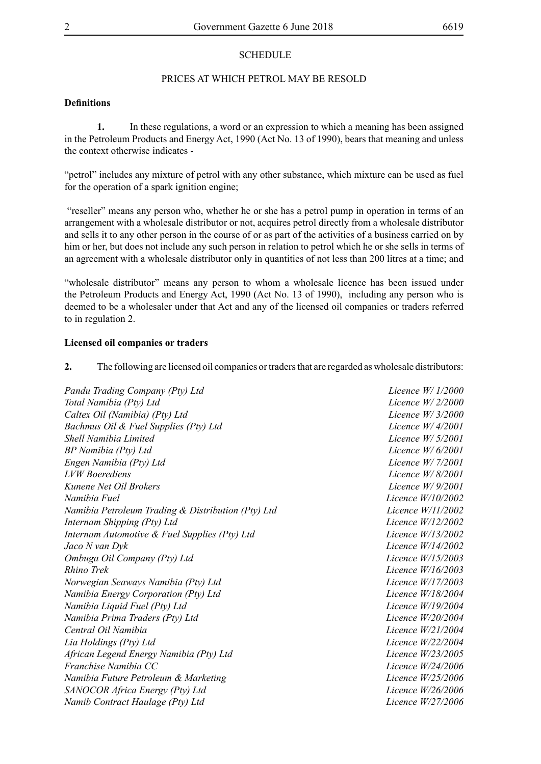#### **SCHEDULE**

#### PRICES AT WHICH PETROL MAY BE RESOLD

#### **Definitions**

**1.** In these regulations, a word or an expression to which a meaning has been assigned in the Petroleum Products and Energy Act, 1990 (Act No. 13 of 1990), bears that meaning and unless the context otherwise indicates -

"petrol" includes any mixture of petrol with any other substance, which mixture can be used as fuel for the operation of a spark ignition engine;

 "reseller" means any person who, whether he or she has a petrol pump in operation in terms of an arrangement with a wholesale distributor or not, acquires petrol directly from a wholesale distributor and sells it to any other person in the course of or as part of the activities of a business carried on by him or her, but does not include any such person in relation to petrol which he or she sells in terms of an agreement with a wholesale distributor only in quantities of not less than 200 litres at a time; and

"wholesale distributor" means any person to whom a wholesale licence has been issued under the Petroleum Products and Energy Act, 1990 (Act No. 13 of 1990), including any person who is deemed to be a wholesaler under that Act and any of the licensed oil companies or traders referred to in regulation 2.

#### **Licensed oil companies or traders**

**2.** The following are licensed oil companies or traders that are regarded as wholesale distributors:

*Pandu Trading Company (Pty) Ltd Licence W/ 1/2000 Total Namibia (Pty) Ltd Licence W/ 2/2000 Caltex Oil (Namibia) (Pty) Ltd Licence W/ 3/2000 Bachmus Oil & Fuel Supplies (Pty) Ltd Licence W/ 4/2001 Shell Namibia Limited Licence W/ 5/2001 BP Namibia (Pty) Ltd Licence W/ 6/2001 Engen Namibia (Pty) Ltd Licence W/ 7/2001 LVW Boerediens Licence W/ 8/2001 Kunene Net Oil Brokers Licence W/ 9/2001 Namibia Fuel Licence W/10/2002 Namibia Petroleum Trading & Distribution (Pty) Ltd Licence W/11/2002 Internam Shipping (Pty) Ltd Licence W/12/2002 Internam Automotive & Fuel Supplies (Pty) Ltd Licence W/13/2002 Jaco N van Dyk Licence W/14/2002 Ombuga Oil Company (Pty) Ltd Licence W/15/2003 Rhino Trek Licence W/16/2003 Norwegian Seaways Namibia (Pty) Ltd Licence W/17/2003 Namibia Energy Corporation (Pty) Ltd Licence W/18/2004 Namibia Liquid Fuel (Pty) Ltd Licence W/19/2004 Namibia Prima Traders (Pty) Ltd Licence W/20/2004 Central Oil Namibia Licence W/21/2004 Lia Holdings (Pty) Ltd Licence W/22/2004 African Legend Energy Namibia (Pty) Ltd Licence W/23/2005 Franchise Namibia CC Licence W/24/2006 Namibia Future Petroleum & Marketing Licence W/25/2006 SANOCOR Africa Energy (Pty) Ltd Licence W/26/2006 Namib Contract Haulage (Pty) Ltd Licence W/27/2006*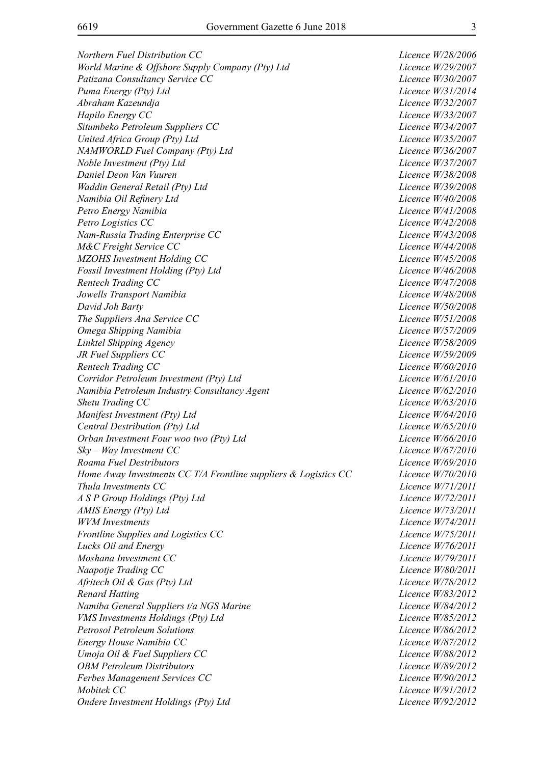*Northern Fuel Distribution CC Licence W/28/2006 World Marine & Offshore Supply Company (Pty) Ltd Licence W/29/2007 Patizana Consultancy Service CC Licence W/30/2007 Puma Energy (Pty) Ltd Licence W/31/2014 Abraham Kazeundja Licence W/32/2007 Hapilo Energy CC Licence W/33/2007 Situmbeko Petroleum Suppliers CC Licence W/34/2007 United Africa Group (Pty) Ltd Licence W/35/2007 NAMWORLD Fuel Company (Pty) Ltd Licence W/36/2007 Noble Investment (Pty) Ltd Licence W/37/2007 Daniel Deon Van Vuuren Licence W/38/2008 Waddin General Retail (Pty) Ltd Licence W/39/2008 Namibia Oil Refinery Ltd Licence W/40/2008 Petro Energy Namibia Licence W/41/2008 Petro Logistics cc Licence W/42/2008 Nam-Russia Trading Enterprise CC Licence W/43/2008 M&C Freight Service cc Licence W/44/2008 MZOHS Investment Holding CC Licence W/45/2008 Fossil Investment Holding (Pty) Ltd Licence W/46/2008 Rentech Trading cc Licence W/47/2008 Jowells Transport Namibia Licence W/48/2008 David Joh Barty Licence W/50/2008 The Suppliers Ana Service CC Licence W/51/2008 Omega Shipping Namibia Licence W/57/2009 Linktel Shipping Agency Licence W/58/2009 JR Fuel Suppliers CC Licence W/59/2009 Rentech Trading CC Licence W/60/2010 Corridor Petroleum Investment (Pty) Ltd Licence W/61/2010 Namibia Petroleum Industry Consultancy Agent Licence W/62/2010 Shetu Trading CC Licence W/63/2010 Manifest Investment (Pty) Ltd Licence W/64/2010 Central Destribution (Pty) Ltd Licence W/65/2010 Orban Investment Four woo two (Pty) Ltd Licence W/66/2010 Sky – Way Investment CC Licence W/67/2010 Roama Fuel Destributors Licence W/69/2010 Home Away Investments CC T/A Frontline suppliers & Logistics CC Licence W/70/2010 Thula Investments CC Licence W/71/2011 A S P Group Holdings (Pty) Ltd Licence W/72/2011 AMIS Energy (Pty) Ltd Licence W/73/2011 WVM Investments Licence W/74/2011 Frontline Supplies and Logistics CC Licence W/75/2011 Lucks Oil and Energy Licence W/76/2011 Moshana Investment CC Licence W/79/2011 Naapotje Trading CC Licence W/80/2011 Afritech Oil & Gas (Pty) Ltd Licence W/78/2012 Renard Hatting Licence W/83/2012 Namiba General Suppliers t/a NGS Marine Licence W/84/2012 VMS Investments Holdings (Pty) Ltd Licence W/85/2012 Petrosol Petroleum Solutions Licence W/86/2012 Energy House Namibia CC* Licence W/87/2012 *Umoja Oil & Fuel Suppliers CC Licence W/88/2012 OBM Petroleum Distributors Licence W/89/2012 Ferbes Management Services CC Licence W/90/2012 Mobitek CC Licence W/91/2012 Ondere Investment Holdings (Pty) Ltd Licence W/92/2012*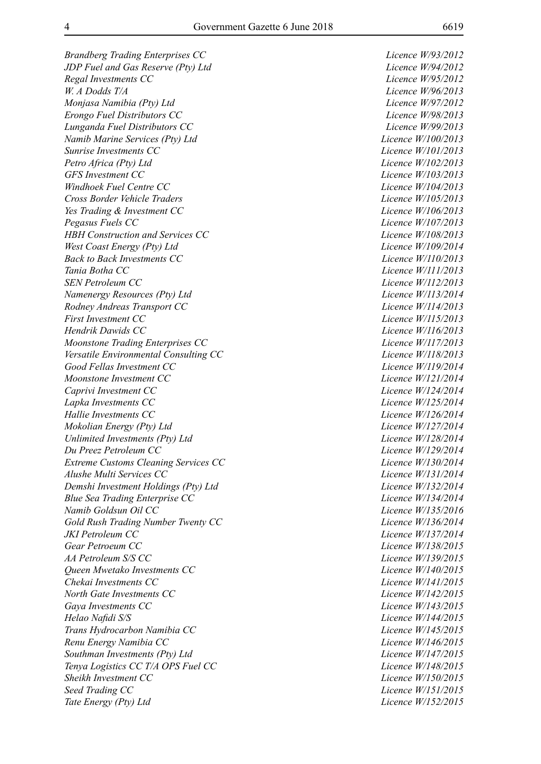*JDP Fuel and Gas Reserve (Pty) Ltd Licence W/94/2012 Regal Investments CC Licence W/95/2012 W. A Dodds T/A Licence W/96/2013 Monjasa Namibia (Pty) Ltd Licence W/97/2012 Erongo Fuel Distributors CC Licence W/98/2013 Lunganda Fuel Distributors CC Licence W/99/2013 Namib Marine Services (Pty) Ltd Licence W/100/2013 Sunrise Investments CC Licence W/101/2013 Petro Africa (Pty) Ltd Licence W/102/2013 GFS Investment CC Licence W/103/2013 Windhoek Fuel Centre CC Licence W/104/2013 Cross Border Vehicle Traders Licence W/105/2013 Yes Trading & Investment CC Licence W/106/2013 Pegasus Fuels CC Licence W/107/2013 HBH Construction and Services CC Licence W/108/2013 West Coast Energy (Pty) Ltd*  $Licence W/109/2014$ *Back to Back Investments CC Licence W/110/2013 Tania Botha CC Licence W/111/2013 SEN Petroleum CC Licence W/112/2013 Namenergy Resources (Pty) Ltd Licence W/113/2014 Rodney Andreas Transport CC Licence W/114/2013 First Investment CC Licence W/115/2013 Hendrik Dawids CC Licence W/116/2013 Moonstone Trading Enterprises CC Licence W/117/2013 Versatile Environmental Consulting CC Licence W/118/2013 Good Fellas Investment CC Licence W/119/2014 Moonstone Investment CC* Licence W/121/2014 *Caprivi Investment CC Caprivi Investment CC Licence W/124/2014 Lapka Investments CC Licence W/125/2014 Hallie Investments CC Licence W/126/2014 Mokolian Energy (Pty) Ltd Licence W/127/2014 Unlimited Investments (Pty) Ltd Licence W/128/2014 Du Preez Petroleum CC Licence W/129/2014 Extreme Customs Cleaning Services CC Licence W/130/2014 Alushe Multi Services CC Licence W/131/2014 Demshi Investment Holdings (Pty) Ltd Licence W/132/2014 Blue Sea Trading Enterprise CC Licence W/134/2014 Namib Goldsun Oil CC Licence W/135/2016 Gold Rush Trading Number Twenty CC Licence W/136/2014 JKI Petroleum CC Licence W/137/2014 Gear Petroeum CC Licence W/138/2015 AA Petroleum S/S CC Licence W/139/2015 Queen Mwetako Investments CC Licence W/140/2015 Chekai Investments CC* Licence W/141/2015 *North Gate Investments CC Licence W/142/2015 Gaya Investments CC Licence W/143/2015 Helao Nafidi S/S Licence W/144/2015 Trans Hydrocarbon Namibia CC Licence W/145/2015* Renu Energy Namibia CC **Licence W**/146/2015 *Southman Investments (Pty) Ltd Licence W/147/2015 Tenya Logistics CC T/A OPS Fuel CC Licence W/148/2015 Sheikh Investment CC Licence W/150/2015 Seed Trading CC Licence W/151/2015 Tate Energy (Pty) Ltd Licence W/152/2015*

*Brandberg Trading Enterprises CC Licence W/93/2012*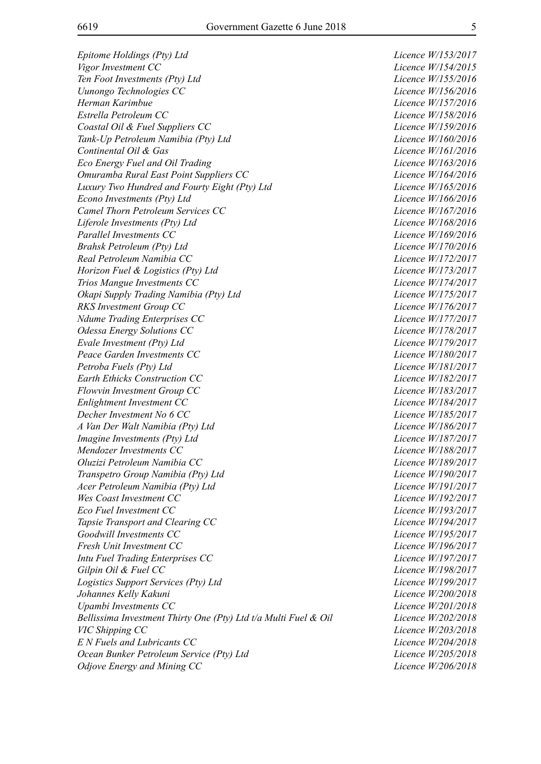*Epitome Holdings (Pty) Ltd Licence W/153/2017 Vigor Investment CC Licence W/154/2015 Ten Foot Investments (Pty) Ltd Licence W/155/2016 Uunongo Technologies CC Licence W/156/2016 Herman Karimbue Licence W/157/2016 Estrella Petroleum CC Licence W/158/2016 Coastal Oil & Fuel Suppliers CC Licence W/159/2016 Tank-Up Petroleum Namibia (Pty) Ltd Licence W/160/2016 Continental Oil & Gas Licence W/161/2016 Eco Energy Fuel and Oil Trading Licence W/163/2016 Omuramba Rural East Point Suppliers CC Licence W/164/2016 Luxury Two Hundred and Fourty Eight (Pty) Ltd Licence W/165/2016 Econo Investments (Pty) Ltd Licence W/166/2016 Camel Thorn Petroleum Services CC Licence W/167/2016 Liferole Investments (Pty) Ltd Licence W/168/2016 Parallel Investments CC Licence W/169/2016 Brahsk Petroleum (Pty) Ltd Licence W/170/2016* Real Petroleum Namibia CC and *Real Petroleum Namibia CC* and *Licence W/172/2017 Horizon Fuel & Logistics (Pty) Ltd Licence W/173/2017 Trios Mangue Investments CC Licence W/174/2017 Okapi Supply Trading Namibia (Pty) Ltd Licence W/175/2017 RKS Investment Group CC Licence W/176/2017 Ndume Trading Enterprises CC Licence W/177/2017 Odessa Energy Solutions CC* Licence W/178/2017 *Evale Investment (Pty) Ltd Licence W/179/2017 Peace Garden Investments CC Licence W/180/2017 Petroba Fuels (Pty) Ltd Licence W/181/2017 Earth Ethicks Construction CC Licence W/182/2017 Flowvin Investment Group CC Licence W/183/2017 Enlightment Investment CC Licence W/184/2017 Decher Investment No 6 CC* Licence W/185/2017 *A Van Der Walt Namibia (Pty) Ltd Licence W/186/2017 Imagine Investments (Pty) Ltd Licence W/187/2017 Mendozer Investments CC Licence W/188/2017 Oluzizi Petroleum Namibia CC Licence W/189/2017 Transpetro Group Namibia (Pty) Ltd Licence W/190/2017 Acer Petroleum Namibia (Pty) Ltd Licence W/191/2017 Wes Coast Investment CC* Licence W/192/2017 *Eco Fuel Investment CC Licence W/193/2017 Tapsie Transport and Clearing CC Licence W/194/2017* Goodwill Investments CC Licence W/195/2017 *Fresh Unit Investment CC Licence W/196/2017 Intu Fuel Trading Enterprises CC Licence W/197/2017 Gilpin Oil & Fuel CC Licence W/198/2017 Logistics Support Services (Pty) Ltd Licence W/199/2017 Johannes Kelly Kakuni Licence W/200/2018 Upambi Investments CC* Licence W/201/2018 *Bellissima Investment Thirty One (Pty) Ltd t/a Multi Fuel & Oil Licence W/202/2018 VIC Shipping CC Licence W/203/2018 E N Fuels and Lubricants CC Licence W/204/2018 Ocean Bunker Petroleum Service (Pty) Ltd Licence W/205/2018 Odjove Energy and Mining CC Licence W/206/2018*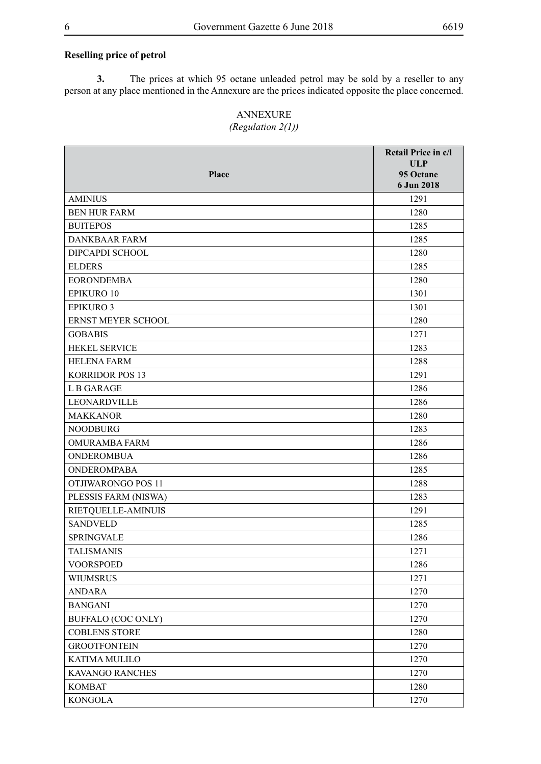#### **Reselling price of petrol**

**3.** The prices at which 95 octane unleaded petrol may be sold by a reseller to any person at any place mentioned in the Annexure are the prices indicated opposite the place concerned.

## ANNEXURE

### *(Regulation 2(1))*

|                           | Retail Price in c/l     |
|---------------------------|-------------------------|
| Place                     | <b>ULP</b><br>95 Octane |
|                           | 6 Jun 2018              |
| <b>AMINIUS</b>            | 1291                    |
| <b>BEN HUR FARM</b>       | 1280                    |
| <b>BUITEPOS</b>           | 1285                    |
| <b>DANKBAAR FARM</b>      | 1285                    |
| DIPCAPDI SCHOOL           | 1280                    |
| <b>ELDERS</b>             | 1285                    |
| <b>EORONDEMBA</b>         | 1280                    |
| <b>EPIKURO 10</b>         | 1301                    |
| <b>EPIKURO 3</b>          | 1301                    |
| ERNST MEYER SCHOOL        | 1280                    |
| <b>GOBABIS</b>            | 1271                    |
| <b>HEKEL SERVICE</b>      | 1283                    |
| <b>HELENA FARM</b>        | 1288                    |
| <b>KORRIDOR POS 13</b>    | 1291                    |
| L B GARAGE                | 1286                    |
| LEONARDVILLE              | 1286                    |
| <b>MAKKANOR</b>           | 1280                    |
| <b>NOODBURG</b>           | 1283                    |
| <b>OMURAMBA FARM</b>      | 1286                    |
| <b>ONDEROMBUA</b>         | 1286                    |
| <b>ONDEROMPABA</b>        | 1285                    |
| OTJIWARONGO POS 11        | 1288                    |
| PLESSIS FARM (NISWA)      | 1283                    |
| RIETQUELLE-AMINUIS        | 1291                    |
| <b>SANDVELD</b>           | 1285                    |
| <b>SPRINGVALE</b>         | 1286                    |
| <b>TALISMANIS</b>         | 1271                    |
| <b>VOORSPOED</b>          | 1286                    |
| <b>WIUMSRUS</b>           | 1271                    |
| <b>ANDARA</b>             | 1270                    |
| <b>BANGANI</b>            | 1270                    |
| <b>BUFFALO (COC ONLY)</b> | 1270                    |
| <b>COBLENS STORE</b>      | 1280                    |
| <b>GROOTFONTEIN</b>       | 1270                    |
| KATIMA MULILO             | 1270                    |
| KAVANGO RANCHES           | 1270                    |
| <b>KOMBAT</b>             | 1280                    |
| <b>KONGOLA</b>            | 1270                    |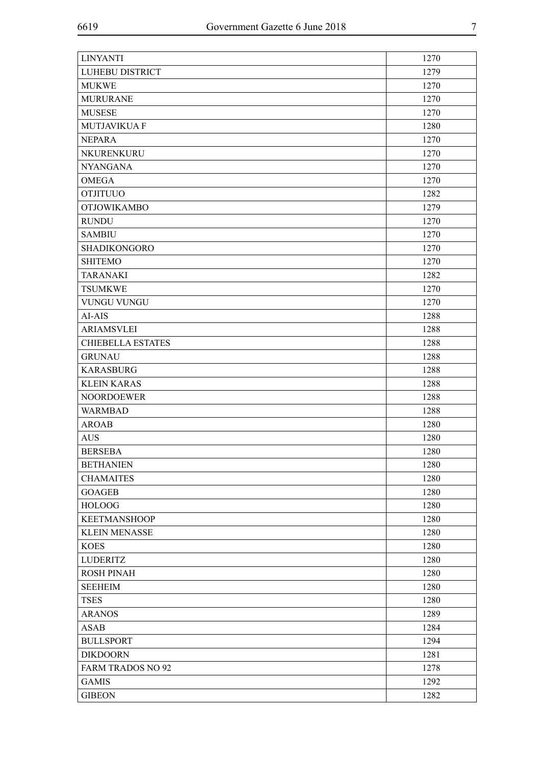| <b>LINYANTI</b>          | 1270 |
|--------------------------|------|
| LUHEBU DISTRICT          | 1279 |
| <b>MUKWE</b>             | 1270 |
| <b>MURURANE</b>          | 1270 |
| <b>MUSESE</b>            | 1270 |
| <b>MUTJAVIKUA F</b>      | 1280 |
| <b>NEPARA</b>            | 1270 |
| NKURENKURU               | 1270 |
| <b>NYANGANA</b>          | 1270 |
| <b>OMEGA</b>             | 1270 |
| <b>OTJITUUO</b>          | 1282 |
| <b>OTJOWIKAMBO</b>       | 1279 |
| <b>RUNDU</b>             | 1270 |
| <b>SAMBIU</b>            | 1270 |
| <b>SHADIKONGORO</b>      | 1270 |
| <b>SHITEMO</b>           | 1270 |
| <b>TARANAKI</b>          | 1282 |
| <b>TSUMKWE</b>           | 1270 |
| <b>VUNGU VUNGU</b>       | 1270 |
| AI-AIS                   | 1288 |
| <b>ARIAMSVLEI</b>        | 1288 |
| <b>CHIEBELLA ESTATES</b> | 1288 |
| <b>GRUNAU</b>            | 1288 |
| <b>KARASBURG</b>         | 1288 |
| <b>KLEIN KARAS</b>       | 1288 |
| <b>NOORDOEWER</b>        | 1288 |
| <b>WARMBAD</b>           | 1288 |
| <b>AROAB</b>             | 1280 |
| <b>AUS</b>               | 1280 |
| <b>BERSEBA</b>           | 1280 |
| <b>BETHANIEN</b>         | 1280 |
| <b>CHAMAITES</b>         | 1280 |
| <b>GOAGEB</b>            | 1280 |
| <b>HOLOOG</b>            | 1280 |
| <b>KEETMANSHOOP</b>      | 1280 |
| <b>KLEIN MENASSE</b>     | 1280 |
| <b>KOES</b>              | 1280 |
| <b>LUDERITZ</b>          | 1280 |
| <b>ROSH PINAH</b>        | 1280 |
| <b>SEEHEIM</b>           | 1280 |
| <b>TSES</b>              | 1280 |
|                          |      |
| <b>ARANOS</b>            | 1289 |
| <b>ASAB</b>              | 1284 |
| <b>BULLSPORT</b>         | 1294 |
| <b>DIKDOORN</b>          | 1281 |
| <b>FARM TRADOS NO 92</b> | 1278 |
| <b>GAMIS</b>             | 1292 |
| <b>GIBEON</b>            | 1282 |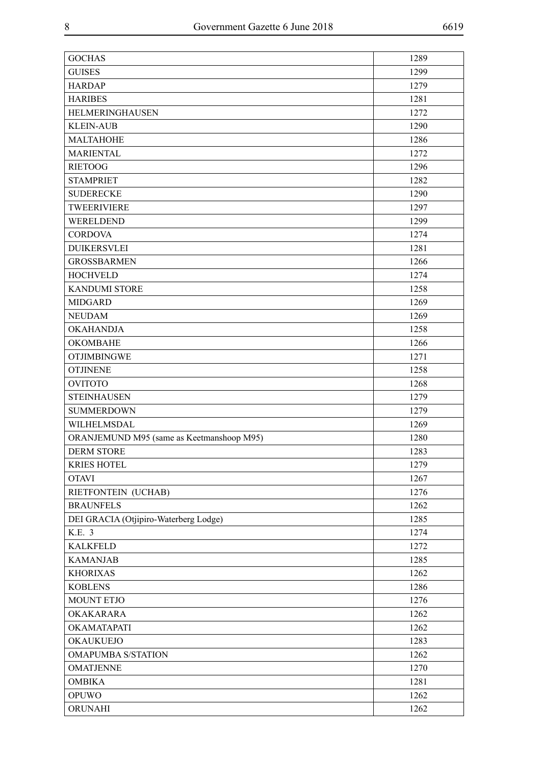| <b>GOCHAS</b>                             | 1289 |
|-------------------------------------------|------|
| <b>GUISES</b>                             | 1299 |
| <b>HARDAP</b>                             | 1279 |
| <b>HARIBES</b>                            | 1281 |
| <b>HELMERINGHAUSEN</b>                    | 1272 |
| <b>KLEIN-AUB</b>                          | 1290 |
| <b>MALTAHOHE</b>                          | 1286 |
| <b>MARIENTAL</b>                          | 1272 |
| <b>RIETOOG</b>                            | 1296 |
| <b>STAMPRIET</b>                          | 1282 |
| <b>SUDERECKE</b>                          | 1290 |
| <b>TWEERIVIERE</b>                        | 1297 |
| WERELDEND                                 | 1299 |
| <b>CORDOVA</b>                            | 1274 |
| <b>DUIKERSVLEI</b>                        | 1281 |
| <b>GROSSBARMEN</b>                        | 1266 |
| <b>HOCHVELD</b>                           | 1274 |
| <b>KANDUMI STORE</b>                      | 1258 |
| <b>MIDGARD</b>                            | 1269 |
| <b>NEUDAM</b>                             | 1269 |
| <b>OKAHANDJA</b>                          | 1258 |
| <b>OKOMBAHE</b>                           | 1266 |
| <b>OTJIMBINGWE</b>                        | 1271 |
| <b>OTJINENE</b>                           | 1258 |
| <b>OVITOTO</b>                            | 1268 |
| <b>STEINHAUSEN</b>                        | 1279 |
| <b>SUMMERDOWN</b>                         | 1279 |
| WILHELMSDAL                               | 1269 |
| ORANJEMUND M95 (same as Keetmanshoop M95) | 1280 |
| <b>DERM STORE</b>                         | 1283 |
| <b>KRIES HOTEL</b>                        | 1279 |
| <b>OTAVI</b>                              | 1267 |
| RIETFONTEIN (UCHAB)                       | 1276 |
| <b>BRAUNFELS</b>                          | 1262 |
| DEI GRACIA (Otjipiro-Waterberg Lodge)     | 1285 |
| K.E. 3                                    | 1274 |
| <b>KALKFELD</b>                           | 1272 |
| <b>KAMANJAB</b>                           | 1285 |
| <b>KHORIXAS</b>                           | 1262 |
| <b>KOBLENS</b>                            | 1286 |
| MOUNT ETJO                                | 1276 |
| OKAKARARA                                 | 1262 |
| OKAMATAPATI                               | 1262 |
| <b>OKAUKUEJO</b>                          | 1283 |
| <b>OMAPUMBA S/STATION</b>                 | 1262 |
| <b>OMATJENNE</b>                          | 1270 |
| <b>OMBIKA</b>                             | 1281 |
| <b>OPUWO</b>                              | 1262 |
| ORUNAHI                                   | 1262 |
|                                           |      |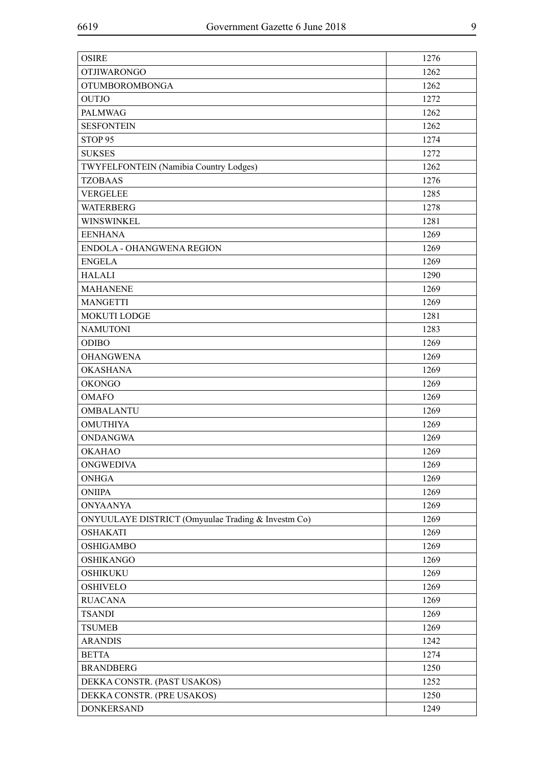| <b>OSIRE</b>                                       | 1276 |
|----------------------------------------------------|------|
| <b>OTJIWARONGO</b>                                 | 1262 |
| <b>OTUMBOROMBONGA</b>                              | 1262 |
| <b>OUTJO</b>                                       | 1272 |
| <b>PALMWAG</b>                                     | 1262 |
| <b>SESFONTEIN</b>                                  | 1262 |
| STOP <sub>95</sub>                                 | 1274 |
| <b>SUKSES</b>                                      | 1272 |
| TWYFELFONTEIN (Namibia Country Lodges)             | 1262 |
| <b>TZOBAAS</b>                                     | 1276 |
| <b>VERGELEE</b>                                    | 1285 |
| <b>WATERBERG</b>                                   | 1278 |
| WINSWINKEL                                         | 1281 |
| <b>EENHANA</b>                                     | 1269 |
| ENDOLA - OHANGWENA REGION                          | 1269 |
| <b>ENGELA</b>                                      | 1269 |
| <b>HALALI</b>                                      | 1290 |
| <b>MAHANENE</b>                                    | 1269 |
| <b>MANGETTI</b>                                    | 1269 |
| <b>MOKUTI LODGE</b>                                | 1281 |
| <b>NAMUTONI</b>                                    | 1283 |
| <b>ODIBO</b>                                       | 1269 |
| <b>OHANGWENA</b>                                   | 1269 |
| <b>OKASHANA</b>                                    | 1269 |
| <b>OKONGO</b>                                      | 1269 |
| <b>OMAFO</b>                                       | 1269 |
| <b>OMBALANTU</b>                                   | 1269 |
| <b>OMUTHIYA</b>                                    | 1269 |
| <b>ONDANGWA</b>                                    | 1269 |
| <b>OKAHAO</b>                                      | 1269 |
| <b>ONGWEDIVA</b>                                   | 1269 |
| <b>ONHGA</b>                                       | 1269 |
| <b>ONIIPA</b>                                      | 1269 |
| <b>ONYAANYA</b>                                    | 1269 |
| ONYUULAYE DISTRICT (Omyuulae Trading & Investm Co) | 1269 |
| <b>OSHAKATI</b>                                    | 1269 |
| <b>OSHIGAMBO</b>                                   | 1269 |
| <b>OSHIKANGO</b>                                   | 1269 |
| <b>OSHIKUKU</b>                                    | 1269 |
| <b>OSHIVELO</b>                                    | 1269 |
| <b>RUACANA</b>                                     | 1269 |
| <b>TSANDI</b>                                      | 1269 |
| <b>TSUMEB</b>                                      | 1269 |
| <b>ARANDIS</b>                                     | 1242 |
| <b>BETTA</b>                                       | 1274 |
| <b>BRANDBERG</b>                                   | 1250 |
| DEKKA CONSTR. (PAST USAKOS)                        | 1252 |
| DEKKA CONSTR. (PRE USAKOS)                         | 1250 |
| <b>DONKERSAND</b>                                  | 1249 |